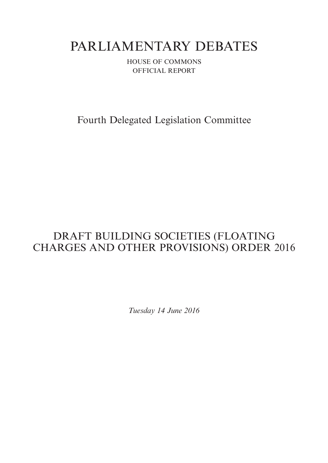# PARLIAMENTARY DEBATES

HOUSE OF COMMONS OFFICIAL REPORT

Fourth Delegated Legislation Committee

## DRAFT BUILDING SOCIETIES (FLOATING CHARGES AND OTHER PROVISIONS) ORDER 2016

*Tuesday 14 June 2016*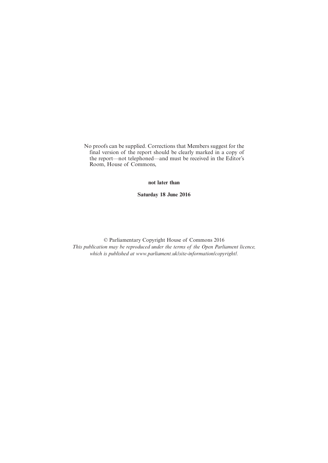No proofs can be supplied. Corrections that Members suggest for the final version of the report should be clearly marked in a copy of the report—not telephoned—and must be received in the Editor's Room, House of Commons,

**not later than**

**Saturday 18 June 2016**

© Parliamentary Copyright House of Commons 2016 *This publication may be reproduced under the terms of the Open Parliament licence, which is published at www.parliament.uk/site-information/copyright/.*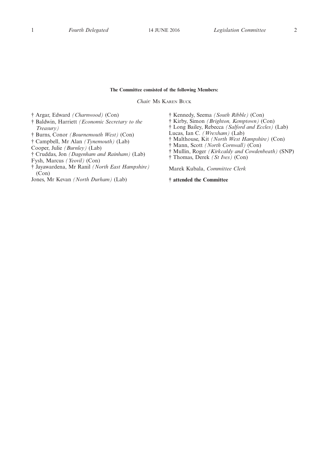#### **The Committee consisted of the following Members:**

*Chair:* MS KAREN BUCK

† Argar, Edward *(Charnwood)* (Con)

- † Baldwin, Harriett *(Economic Secretary to the Treasury)*
- † Burns, Conor *(Bournemouth West)* (Con)
- † Campbell, Mr Alan *(Tynemouth)* (Lab)

Cooper, Julie *(Burnley)* (Lab)

† Cruddas, Jon *(Dagenham and Rainham)* (Lab)

Fysh, Marcus *(Yeovil)* (Con)

- † Jayawardena, Mr Ranil *(North East Hampshire)* (Con)
- Jones, Mr Kevan *(North Durham)* (Lab)
- † Kennedy, Seema *(South Ribble)* (Con)
- † Kirby, Simon *(Brighton, Kemptown)* (Con)
- † Long Bailey, Rebecca *(Salford and Eccles)* (Lab)
- Lucas, Ian C. *(Wrexham)* (Lab)
- † Malthouse, Kit *(North West Hampshire)* (Con)
- † Mann, Scott *(North Cornwall)* (Con)
- † Mullin, Roger *(Kirkcaldy and Cowdenbeath)* (SNP)
- † Thomas, Derek *(St Ives)* (Con)

Marek Kubala, *Committee Clerk*

**† attended the Committee**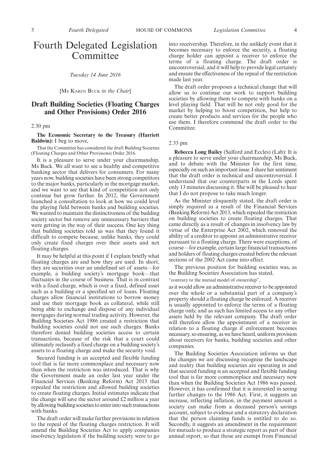### Fourth Delegated Legislation Committee

*Tuesday 14 June 2016*

[MS KAREN BUCK *in the Chair*]

#### **Draft Building Societies (Floating Charges and Other Provisions) Order 2016**

#### 2.30 pm

#### **The Economic Secretary to the Treasury (Harriett Baldwin):** I beg to move,

That the Committee has considered the draft Building Societies (Floating Charges and Other Provisions) Order 2016.

It is a pleasure to serve under your chairmanship, Ms Buck. We all want to see a healthy and competitive banking sector that delivers for consumers. For many years now, building societies have been strong competitors to the major banks, particularly in the mortgage market, and we want to see that kind of competition not only continue but grow further. In 2012, the Government launched a consultation to look at how we could level the playing field between banks and building societies. We wanted to maintain the distinctiveness of the building society sector but remove any unnecessary barriers that were getting in the way of their success. One key thing that building societies told us was that they found it difficult to compete because, unlike banks, they could only create fixed charges over their assets and not floating charges.

It may be helpful at this point if I explain briefly what floating charges are and how they are used. In short, they are securities over an undefined set of assets—for example, a building society's mortgage book—that fluctuates in the course of business. That is in contrast with a fixed charge, which is over a fixed, defined asset such as a building or a specified set of loans. Floating charges allow financial institutions to borrow money and use their mortgage book as collateral, while still being able to exchange and dispose of any individual mortgages during normal trading activity. However, the Building Societies Act 1986 created a restriction that building societies could not use such charges. Banks therefore denied building societies access to certain transactions, because of the risk that a court could ultimately reclassify a fixed charge on a building society's assets to a floating charge and make the security void.

Secured funding is an accepted and flexible funding tool that is far more commonplace and necessary now than when the restriction was introduced. That is why the Government made an order last year under the Financial Services (Banking Reform) Act 2013 that repealed the restriction and allowed building societies to create floating charges. Initial estimates indicate that the change will save the sector around £2 million a year by allowing building societies to enter into such transactions with banks.

The draft order will make further provisions in relation to the repeal of the floating charges restriction. It will amend the Building Societies Act to apply companies insolvency legislation if the building society were to go into receivership. Therefore, in the unlikely event that it becomes necessary to enforce the security, a floating charge holder can appoint a receiver to enforce the terms of a floating charge. The draft order is uncontroversial, and it will help to provide legal certainty and ensure the effectiveness of the repeal of the restriction made last year.

The draft order proposes a technical change that will allow us to continue our work to support building societies by allowing them to compete with banks on a level playing field. That will be not only good for the market by helping to boost competition, but help to create better products and services for the people who use them. I therefore commend the draft order to the Committee.

#### 2.33 pm

**Rebecca Long Bailey** (Salford and Eccles) (Lab): It is a pleasure to serve under your chairmanship, Ms Buck, and to debate with the Minister for the first time, especially on such an important issue. I share her sentiment that the draft order is technical and uncontroversial. I understand that our counterparts in the Lords spent only 13 minutes discussing it. She will be pleased to hear that I do not propose to take much longer.

As the Minister eloquently stated, the draft order is simply required as a result of the Financial Services (Banking Reform) Act 2013, which repealed the restriction on building societies to create floating charges. That came directly as a result of changes in insolvency law by virtue of the Enterprise Act 2002, which removed the ability of a creditor to appoint an administrative receiver pursuant to a floating charge. There were exceptions, of course—for example, certain large financial transactions and holders of floating charges created before the relevant sections of the 2002 Act came into effect.

The previous position for building societies was, as the Building Societies Association has stated,

"contrary to the mutual model of ownership",

as it would allow an administrative receiver to be appointed over the whole or a substantial part of a company's property should a floating charge be enforced. A receiver is usually appointed to enforce the terms of a floating charge only, and as such has limited access to any other assets held by the relevant company. The draft order will therefore allow the appointment of a receiver in relation to a floating charge if enforcement becomes necessary, so ensuring, as we have heard, uniform provision about receivers for banks, building societies and other companies.

The Building Societies Association informs us that the changes we are discussing recognise the landscape and reality that building societies are operating in and that secured funding is an accepted and flexible funding tool that is far more commonplace and necessary now than when the Building Societies Act 1986 was passed. However, it has confirmed that it is interested in seeing further changes to the 1986 Act. First, it suggests an increase, reflecting inflation, in the payment amount a society can make from a deceased person's savings account, subject to evidence and a statutory declaration that the person claiming funds is entitled to do so. Secondly, it suggests an amendment in the requirement for mutuals to produce a strategic report as part of their annual report, so that those are exempt from Financial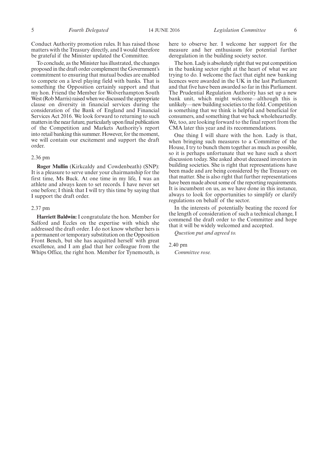Conduct Authority promotion rules. It has raised those matters with the Treasury directly, and I would therefore be grateful if the Minister updated the Committee.

To conclude, as the Minister has illustrated, the changes proposed in the draft order complement the Government's commitment to ensuring that mutual bodies are enabled to compete on a level playing field with banks. That is something the Opposition certainly support and that my hon. Friend the Member for Wolverhampton South West (Rob Marris) raised when we discussed the appropriate clause on diversity in financial services during the consideration of the Bank of England and Financial Services Act 2016. We look forward to returning to such mattersin the near future, particularly upon final publication of the Competition and Markets Authority's report into retail banking this summer. However, for the moment, we will contain our excitement and support the draft order.

#### 2.36 pm

**Roger Mullin** (Kirkcaldy and Cowdenbeath) (SNP): It is a pleasure to serve under your chairmanship for the first time, Ms Buck. At one time in my life, I was an athlete and always keen to set records. I have never set one before; I think that I will try this time by saying that I support the draft order.

#### 2.37 pm

**Harriett Baldwin:** I congratulate the hon. Member for Salford and Eccles on the expertise with which she addressed the draft order. I do not know whether hers is a permanent or temporary substitution on the Opposition Front Bench, but she has acquitted herself with great excellence, and I am glad that her colleague from the Whips Office, the right hon. Member for Tynemouth, is here to observe her. I welcome her support for the measure and her enthusiasm for potential further deregulation in the building society sector.

The hon. Lady is absolutely right that we put competition in the banking sector right at the heart of what we are trying to do. I welcome the fact that eight new banking licences were awarded in the UK in the last Parliament and that five have been awarded so far in this Parliament. The Prudential Regulation Authority has set up a new bank unit, which might welcome—although this is unlikely—new building societies to the fold. Competition is something that we think is helpful and beneficial for consumers, and something that we back wholeheartedly. We, too, are looking forward to the final report from the CMA later this year and its recommendations.

One thing I will share with the hon. Lady is that, when bringing such measures to a Committee of the House, I try to bunch them together as much as possible, so it is perhaps unfortunate that we have such a short discussion today. She asked about deceased investors in building societies. She is right that representations have been made and are being considered by the Treasury on that matter. She is also right that further representations have been made about some of the reporting requirements. It is incumbent on us, as we have done in this instance, always to look for opportunities to simplify or clarify regulations on behalf of the sector.

In the interests of potentially beating the record for the length of consideration of such a technical change, I commend the draft order to the Committee and hope that it will be widely welcomed and accepted.

*Question put and agreed to.*

2.40 pm

*Committee rose.*